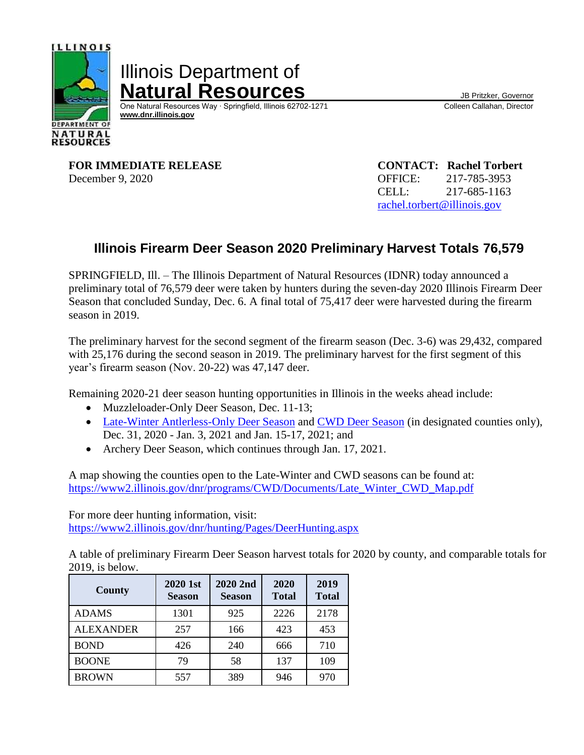

Illinois Department of **Natural Resources**<br>
One Natural Resources Way · Springfield, Illinois 62702-1271 Colleen Callahan, Director

One Natural Resources Way ⋅ Springfield, Illinois 62702-1271  **[www.dnr.illinois.gov](http://www.dnr.illinois.gov/)**

**FOR IMMEDIATE RELEASE CONTACT: Rachel Torbert** December 9, 2020 OFFICE: 217-785-3953

CELL: 217-685-1163 [rachel.torbert@illinois.gov](mailto:rachel.torbert@illinois.gov)

## **Illinois Firearm Deer Season 2020 Preliminary Harvest Totals 76,579**

SPRINGFIELD, Ill. – The Illinois Department of Natural Resources (IDNR) today announced a preliminary total of 76,579 deer were taken by hunters during the seven-day 2020 Illinois Firearm Deer Season that concluded Sunday, Dec. 6. A final total of 75,417 deer were harvested during the firearm season in 2019.

The preliminary harvest for the second segment of the firearm season (Dec. 3-6) was 29,432, compared with 25,176 during the second season in 2019. The preliminary harvest for the first segment of this year's firearm season (Nov. 20-22) was 47,147 deer.

Remaining 2020-21 deer season hunting opportunities in Illinois in the weeks ahead include:

- Muzzleloader-Only Deer Season, Dec. 11-13;
- [Late-Winter Antlerless-Only Deer Season](https://www2.illinois.gov/dnr/hunting/Documents/2020-2021%20Late%20Winter%20Hunting%20Information.pdf) and [CWD Deer Season](https://www2.illinois.gov/dnr/hunting/Documents/2020-2021%20Special%20CWD%20Season%20Hunting%20Information.pdf) (in designated counties only), Dec. 31, 2020 - Jan. 3, 2021 and Jan. 15-17, 2021; and
- Archery Deer Season, which continues through Jan. 17, 2021.

A map showing the counties open to the Late-Winter and CWD seasons can be found at: [https://www2.illinois.gov/dnr/programs/CWD/Documents/Late\\_Winter\\_CWD\\_Map.pdf](https://www2.illinois.gov/dnr/programs/CWD/Documents/Late_Winter_CWD_Map.pdf)

For more deer hunting information, visit: <https://www2.illinois.gov/dnr/hunting/Pages/DeerHunting.aspx>

A table of preliminary Firearm Deer Season harvest totals for 2020 by county, and comparable totals for 2019, is below.

| <b>County</b>    | 2020 1st<br><b>Season</b> | 2020 2nd<br><b>Season</b> | 2020<br><b>Total</b> | 2019<br><b>Total</b> |
|------------------|---------------------------|---------------------------|----------------------|----------------------|
| <b>ADAMS</b>     | 1301                      | 925                       | 2226                 | 2178                 |
| <b>ALEXANDER</b> | 257                       | 166                       | 423                  | 453                  |
| <b>BOND</b>      | 426                       | 240                       | 666                  | 710                  |
| <b>BOONE</b>     | 79                        | 58                        | 137                  | 109                  |
| <b>BROWN</b>     | 557                       | 389                       | 946                  | 970                  |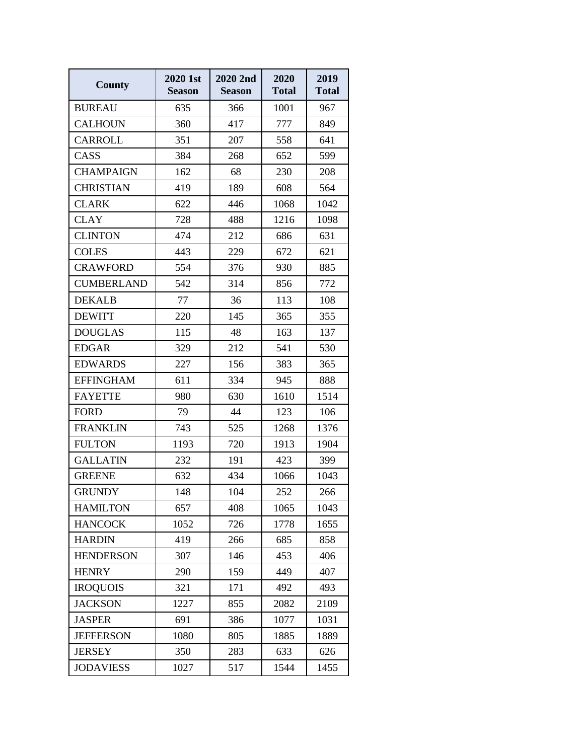| <b>County</b>     | 2020 1st<br><b>Season</b> | 2020 2nd<br><b>Season</b> | 2020<br><b>Total</b> | 2019<br><b>Total</b> |
|-------------------|---------------------------|---------------------------|----------------------|----------------------|
| <b>BUREAU</b>     | 635                       | 366                       | 1001                 | 967                  |
| <b>CALHOUN</b>    | 360                       | 417                       | 777                  | 849                  |
| <b>CARROLL</b>    | 351                       | 207                       | 558                  | 641                  |
| CASS              | 384                       | 268                       | 652                  | 599                  |
| <b>CHAMPAIGN</b>  | 162                       | 68                        | 230                  | 208                  |
| <b>CHRISTIAN</b>  | 419                       | 189                       | 608                  | 564                  |
| <b>CLARK</b>      | 622                       | 446                       | 1068                 | 1042                 |
| <b>CLAY</b>       | 728                       | 488                       | 1216                 | 1098                 |
| <b>CLINTON</b>    | 474                       | 212                       | 686                  | 631                  |
| <b>COLES</b>      | 443                       | 229                       | 672                  | 621                  |
| <b>CRAWFORD</b>   | 554                       | 376                       | 930                  | 885                  |
| <b>CUMBERLAND</b> | 542                       | 314                       | 856                  | 772                  |
| <b>DEKALB</b>     | 77                        | 36                        | 113                  | 108                  |
| <b>DEWITT</b>     | 220                       | 145                       | 365                  | 355                  |
| <b>DOUGLAS</b>    | 115                       | 48                        | 163                  | 137                  |
| <b>EDGAR</b>      | 329                       | 212                       | 541                  | 530                  |
| <b>EDWARDS</b>    | 227                       | 156                       | 383                  | 365                  |
| <b>EFFINGHAM</b>  | 611                       | 334                       | 945                  | 888                  |
| <b>FAYETTE</b>    | 980                       | 630                       | 1610                 | 1514                 |
| <b>FORD</b>       | 79                        | 44                        | 123                  | 106                  |
| <b>FRANKLIN</b>   | 743                       | 525                       | 1268                 | 1376                 |
| <b>FULTON</b>     | 1193                      | 720                       | 1913                 | 1904                 |
| <b>GALLATIN</b>   | 232                       | 191                       | 423                  | 399                  |
| <b>GREENE</b>     | 632                       | 434                       | 1066                 | 1043                 |
| <b>GRUNDY</b>     | 148                       | 104                       | 252                  | 266                  |
| <b>HAMILTON</b>   | 657                       | 408                       | 1065                 | 1043                 |
| <b>HANCOCK</b>    | 1052                      | 726                       | 1778                 | 1655                 |
| <b>HARDIN</b>     | 419                       | 266                       | 685                  | 858                  |
| <b>HENDERSON</b>  | 307                       | 146                       | 453                  | 406                  |
| <b>HENRY</b>      | 290                       | 159                       | 449                  | 407                  |
| <b>IROQUOIS</b>   | 321                       | 171                       | 492                  | 493                  |
| <b>JACKSON</b>    | 1227                      | 855                       | 2082                 | 2109                 |
| <b>JASPER</b>     | 691                       | 386                       | 1077                 | 1031                 |
| <b>JEFFERSON</b>  | 1080                      | 805                       | 1885                 | 1889                 |
| <b>JERSEY</b>     | 350                       | 283                       | 633                  | 626                  |
| <b>JODAVIESS</b>  | 1027                      | 517                       | 1544                 | 1455                 |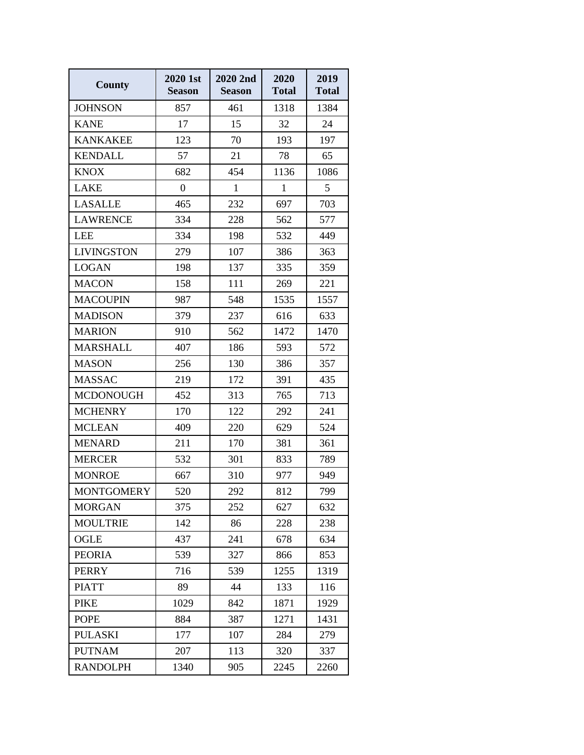| <b>County</b>     | 2020 1st<br><b>Season</b> | 2020 2nd<br><b>Season</b> | 2020<br><b>Total</b> | 2019<br><b>Total</b> |
|-------------------|---------------------------|---------------------------|----------------------|----------------------|
| <b>JOHNSON</b>    | 857                       | 461                       | 1318                 | 1384                 |
| <b>KANE</b>       | 17                        | 15                        | 32                   | 24                   |
| <b>KANKAKEE</b>   | 123                       | 70                        | 193                  | 197                  |
| <b>KENDALL</b>    | 57                        | 21                        | 78                   | 65                   |
| <b>KNOX</b>       | 682                       | 454                       | 1136                 | 1086                 |
| <b>LAKE</b>       | $\boldsymbol{0}$          | $\mathbf{1}$              | $\mathbf{1}$         | 5                    |
| <b>LASALLE</b>    | 465                       | 232                       | 697                  | 703                  |
| <b>LAWRENCE</b>   | 334                       | 228                       | 562                  | 577                  |
| <b>LEE</b>        | 334                       | 198                       | 532                  | 449                  |
| <b>LIVINGSTON</b> | 279                       | 107                       | 386                  | 363                  |
| <b>LOGAN</b>      | 198                       | 137                       | 335                  | 359                  |
| <b>MACON</b>      | 158                       | 111                       | 269                  | 221                  |
| <b>MACOUPIN</b>   | 987                       | 548                       | 1535                 | 1557                 |
| <b>MADISON</b>    | 379                       | 237                       | 616                  | 633                  |
| <b>MARION</b>     | 910                       | 562                       | 1472                 | 1470                 |
| <b>MARSHALL</b>   | 407                       | 186                       | 593                  | 572                  |
| <b>MASON</b>      | 256                       | 130                       | 386                  | 357                  |
| <b>MASSAC</b>     | 219                       | 172                       | 391                  | 435                  |
| <b>MCDONOUGH</b>  | 452                       | 313                       | 765                  | 713                  |
| <b>MCHENRY</b>    | 170                       | 122                       | 292                  | 241                  |
| <b>MCLEAN</b>     | 409                       | 220                       | 629                  | 524                  |
| <b>MENARD</b>     | 211                       | 170                       | 381                  | 361                  |
| <b>MERCER</b>     | 532                       | 301                       | 833                  | 789                  |
| <b>MONROE</b>     | 667                       | 310                       | 977                  | 949                  |
| <b>MONTGOMERY</b> | 520                       | 292                       | 812                  | 799                  |
| <b>MORGAN</b>     | 375                       | 252                       | 627                  | 632                  |
| <b>MOULTRIE</b>   | 142                       | 86                        | 228                  | 238                  |
| OGLE              | 437                       | 241                       | 678                  | 634                  |
| <b>PEORIA</b>     | 539                       | 327                       | 866                  | 853                  |
| <b>PERRY</b>      | 716                       | 539                       | 1255                 | 1319                 |
| <b>PIATT</b>      | 89                        | 44                        | 133                  | 116                  |
| <b>PIKE</b>       | 1029                      | 842                       | 1871                 | 1929                 |
| <b>POPE</b>       | 884                       | 387                       | 1271                 | 1431                 |
| <b>PULASKI</b>    | 177                       | 107                       | 284                  | 279                  |
| <b>PUTNAM</b>     | 207                       | 113                       | 320                  | 337                  |
| <b>RANDOLPH</b>   | 1340                      | 905                       | 2245                 | 2260                 |